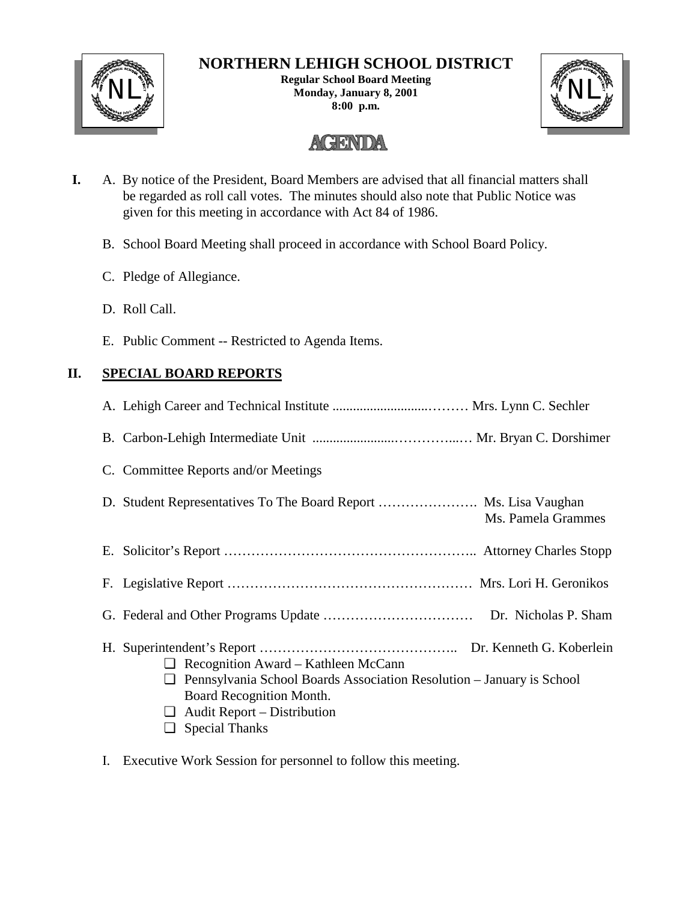

## **NORTHERN LEHIGH SCHOOL DISTRICT**

**Regular School Board Meeting Monday, January 8, 2001** NL NL**8:00 p.m.**



# **AGENDA**

- **I.** A. By notice of the President, Board Members are advised that all financial matters shall be regarded as roll call votes. The minutes should also note that Public Notice was given for this meeting in accordance with Act 84 of 1986.
	- B. School Board Meeting shall proceed in accordance with School Board Policy.
	- C. Pledge of Allegiance.
	- D. Roll Call.
	- E. Public Comment -- Restricted to Agenda Items.

### **II. SPECIAL BOARD REPORTS**

| C. Committee Reports and/or Meetings                                                                                                                                                       |
|--------------------------------------------------------------------------------------------------------------------------------------------------------------------------------------------|
| Ms. Pamela Grammes                                                                                                                                                                         |
|                                                                                                                                                                                            |
|                                                                                                                                                                                            |
|                                                                                                                                                                                            |
| $\Box$ Recognition Award – Kathleen McCann<br>Pennsylvania School Boards Association Resolution - January is School<br>⊔<br>Board Recognition Month.<br>$\Box$ Audit Report – Distribution |
| $\Box$ Special Thanks                                                                                                                                                                      |

I. Executive Work Session for personnel to follow this meeting.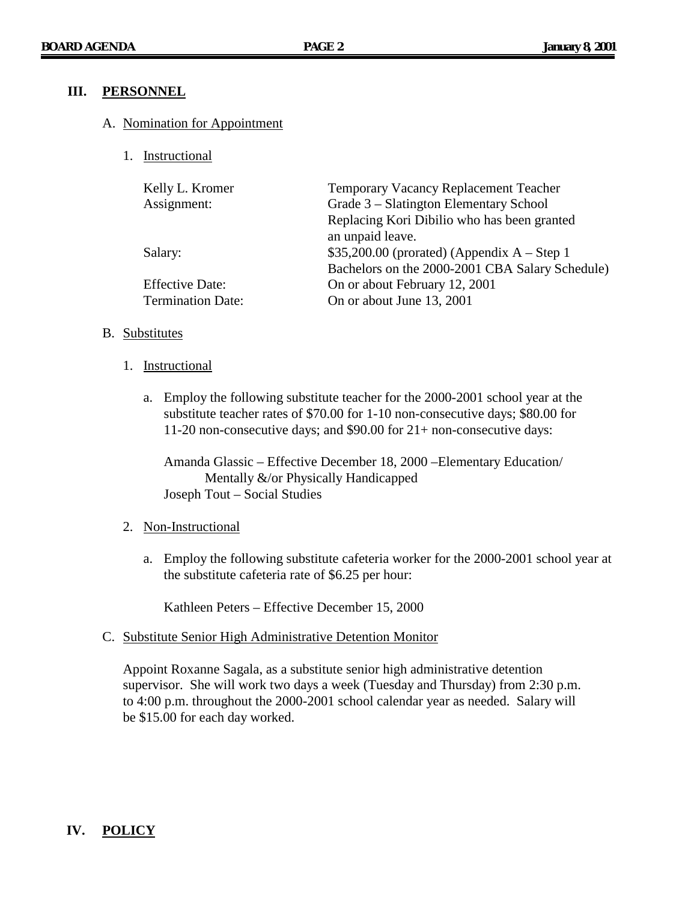#### **III. PERSONNEL**

#### A. Nomination for Appointment

1. Instructional

| Kelly L. Kromer          | Temporary Vacancy Replacement Teacher           |
|--------------------------|-------------------------------------------------|
| Assignment:              | Grade 3 – Slatington Elementary School          |
|                          | Replacing Kori Dibilio who has been granted     |
|                          | an unpaid leave.                                |
| Salary:                  | $$35,200.00$ (prorated) (Appendix A – Step 1    |
|                          | Bachelors on the 2000-2001 CBA Salary Schedule) |
| <b>Effective Date:</b>   | On or about February 12, 2001                   |
| <b>Termination Date:</b> | On or about June 13, 2001                       |
|                          |                                                 |

#### B. Substitutes

- 1. Instructional
	- a. Employ the following substitute teacher for the 2000-2001 school year at the substitute teacher rates of \$70.00 for 1-10 non-consecutive days; \$80.00 for 11-20 non-consecutive days; and \$90.00 for 21+ non-consecutive days:

Amanda Glassic – Effective December 18, 2000 –Elementary Education/ Mentally &/or Physically Handicapped Joseph Tout – Social Studies

#### 2. Non-Instructional

a. Employ the following substitute cafeteria worker for the 2000-2001 school year at the substitute cafeteria rate of \$6.25 per hour:

Kathleen Peters – Effective December 15, 2000

C. Substitute Senior High Administrative Detention Monitor

Appoint Roxanne Sagala, as a substitute senior high administrative detention supervisor. She will work two days a week (Tuesday and Thursday) from 2:30 p.m. to 4:00 p.m. throughout the 2000-2001 school calendar year as needed. Salary will be \$15.00 for each day worked.

### **IV. POLICY**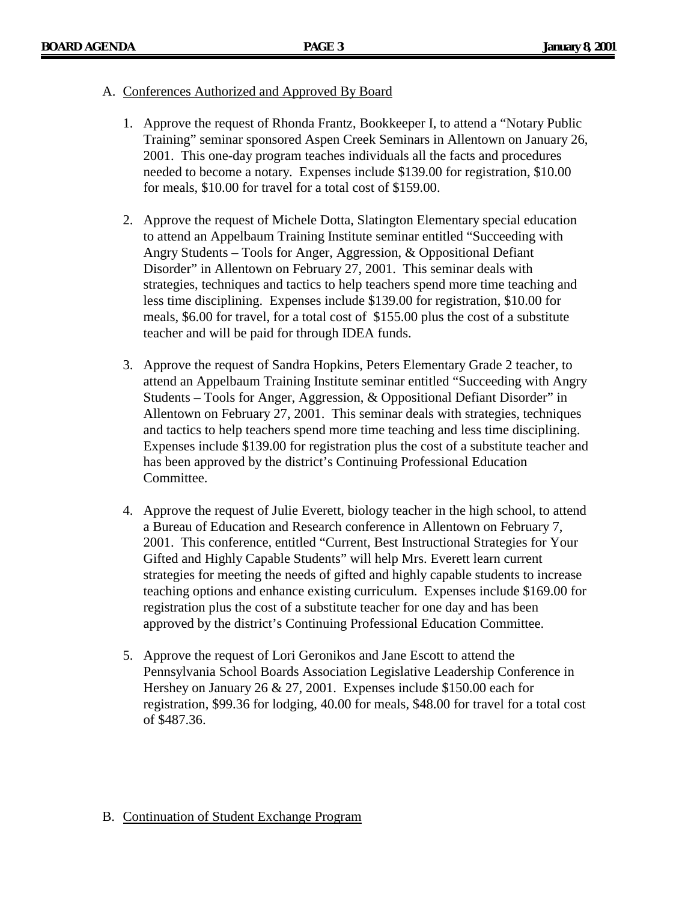#### A. Conferences Authorized and Approved By Board

- 1. Approve the request of Rhonda Frantz, Bookkeeper I, to attend a "Notary Public Training" seminar sponsored Aspen Creek Seminars in Allentown on January 26, 2001. This one-day program teaches individuals all the facts and procedures needed to become a notary. Expenses include \$139.00 for registration, \$10.00 for meals, \$10.00 for travel for a total cost of \$159.00.
- 2. Approve the request of Michele Dotta, Slatington Elementary special education to attend an Appelbaum Training Institute seminar entitled "Succeeding with Angry Students – Tools for Anger, Aggression, & Oppositional Defiant Disorder" in Allentown on February 27, 2001. This seminar deals with strategies, techniques and tactics to help teachers spend more time teaching and less time disciplining. Expenses include \$139.00 for registration, \$10.00 for meals, \$6.00 for travel, for a total cost of \$155.00 plus the cost of a substitute teacher and will be paid for through IDEA funds.
- 3. Approve the request of Sandra Hopkins, Peters Elementary Grade 2 teacher, to attend an Appelbaum Training Institute seminar entitled "Succeeding with Angry Students – Tools for Anger, Aggression, & Oppositional Defiant Disorder" in Allentown on February 27, 2001. This seminar deals with strategies, techniques and tactics to help teachers spend more time teaching and less time disciplining. Expenses include \$139.00 for registration plus the cost of a substitute teacher and has been approved by the district's Continuing Professional Education Committee.
- 4. Approve the request of Julie Everett, biology teacher in the high school, to attend a Bureau of Education and Research conference in Allentown on February 7, 2001. This conference, entitled "Current, Best Instructional Strategies for Your Gifted and Highly Capable Students" will help Mrs. Everett learn current strategies for meeting the needs of gifted and highly capable students to increase teaching options and enhance existing curriculum. Expenses include \$169.00 for registration plus the cost of a substitute teacher for one day and has been approved by the district's Continuing Professional Education Committee.
- 5. Approve the request of Lori Geronikos and Jane Escott to attend the Pennsylvania School Boards Association Legislative Leadership Conference in Hershey on January 26 & 27, 2001. Expenses include \$150.00 each for registration, \$99.36 for lodging, 40.00 for meals, \$48.00 for travel for a total cost of \$487.36.

#### B. Continuation of Student Exchange Program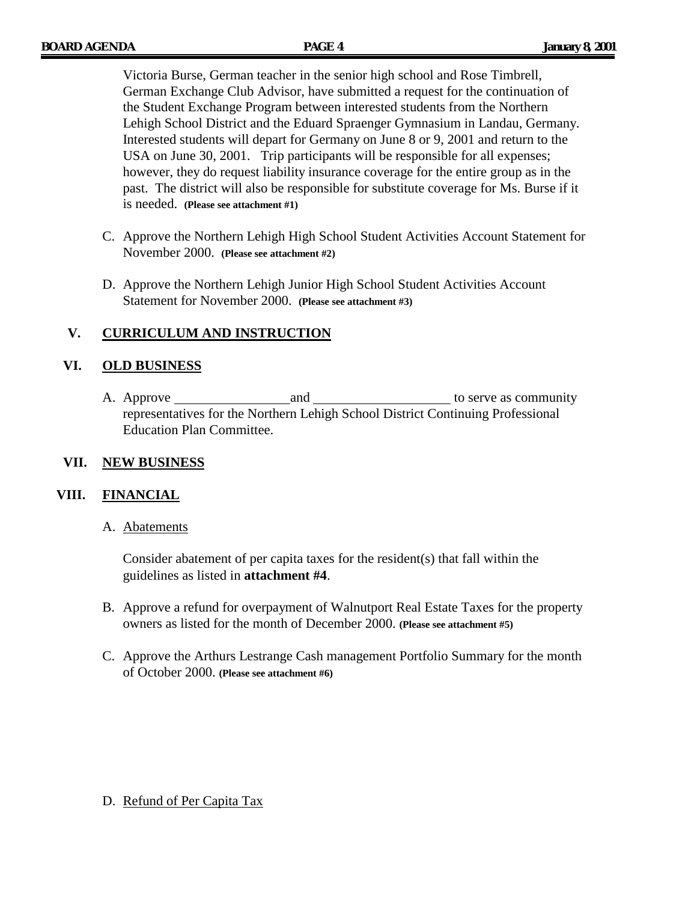Victoria Burse, German teacher in the senior high school and Rose Timbrell, German Exchange Club Advisor, have submitted a request for the continuation of the Student Exchange Program between interested students from the Northern Lehigh School District and the Eduard Spraenger Gymnasium in Landau, Germany. Interested students will depart for Germany on June 8 or 9, 2001 and return to the USA on June 30, 2001. Trip participants will be responsible for all expenses; however, they do request liability insurance coverage for the entire group as in the past. The district will also be responsible for substitute coverage for Ms. Burse if it is needed. **(Please see attachment #1)**

- C. Approve the Northern Lehigh High School Student Activities Account Statement for November 2000. **(Please see attachment #2)**
- D. Approve the Northern Lehigh Junior High School Student Activities Account Statement for November 2000. **(Please see attachment #3)**

### **V. CURRICULUM AND INSTRUCTION**

#### **VI. OLD BUSINESS**

A. Approve and to serve as community representatives for the Northern Lehigh School District Continuing Professional Education Plan Committee.

#### **VII. NEW BUSINESS**

#### **VIII. FINANCIAL**

A. Abatements

Consider abatement of per capita taxes for the resident(s) that fall within the guidelines as listed in **attachment #4**.

- B. Approve a refund for overpayment of Walnutport Real Estate Taxes for the property owners as listed for the month of December 2000. **(Please see attachment #5)**
- C. Approve the Arthurs Lestrange Cash management Portfolio Summary for the month of October 2000. **(Please see attachment #6)**

#### D. Refund of Per Capita Tax